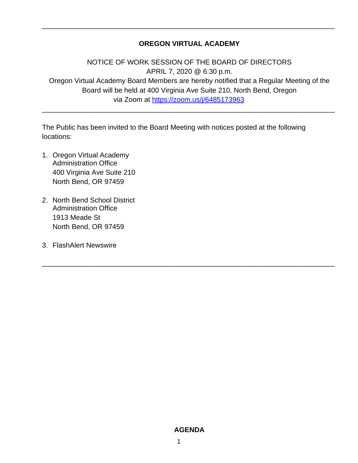## **OREGON VIRTUAL ACADEMY**

\_\_\_\_\_\_\_\_\_\_\_\_\_\_\_\_\_\_\_\_\_\_\_\_\_\_\_\_\_\_\_\_\_\_\_\_\_\_\_\_\_\_\_\_\_\_\_\_\_\_\_\_\_\_\_\_\_\_\_\_\_\_\_\_\_\_\_\_\_\_\_\_\_\_\_

NOTICE OF WORK SESSION OF THE BOARD OF DIRECTORS APRIL 7, 2020 @ 6:30 p.m. Oregon Virtual Academy Board Members are hereby notified that a Regular Meeting of the Board will be held at 400 Virginia Ave Suite 210, North Bend, Oregon via Zoom at <https://zoom.us/j/6485173963>

\_\_\_\_\_\_\_\_\_\_\_\_\_\_\_\_\_\_\_\_\_\_\_\_\_\_\_\_\_\_\_\_\_\_\_\_\_\_\_\_\_\_\_\_\_\_\_\_\_\_\_\_\_\_\_\_\_\_\_\_\_\_\_\_\_\_\_\_\_\_\_\_\_\_\_

\_\_\_\_\_\_\_\_\_\_\_\_\_\_\_\_\_\_\_\_\_\_\_\_\_\_\_\_\_\_\_\_\_\_\_\_\_\_\_\_\_\_\_\_\_\_\_\_\_\_\_\_\_\_\_\_\_\_\_\_\_\_\_\_\_\_\_\_\_\_\_\_\_\_\_

The Public has been invited to the Board Meeting with notices posted at the following locations:

- 1. Oregon Virtual Academy Administration Office 400 Virginia Ave Suite 210 North Bend, OR 97459
- 2. North Bend School District Administration Office 1913 Meade St North Bend, OR 97459
- 3. FlashAlert Newswire

### **AGENDA**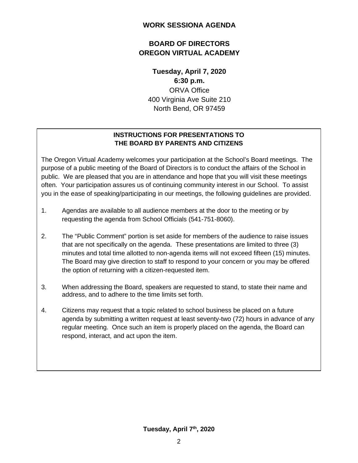## **WORK SESSIONA AGENDA**

# **BOARD OF DIRECTORS OREGON VIRTUAL ACADEMY**

**Tuesday, April 7, 2020 6:30 p.m.** ORVA Office 400 Virginia Ave Suite 210 North Bend, OR 97459

# **INSTRUCTIONS FOR PRESENTATIONS TO THE BOARD BY PARENTS AND CITIZENS**

The Oregon Virtual Academy welcomes your participation at the School's Board meetings. The purpose of a public meeting of the Board of Directors is to conduct the affairs of the School in public. We are pleased that you are in attendance and hope that you will visit these meetings often. Your participation assures us of continuing community interest in our School. To assist you in the ease of speaking/participating in our meetings, the following guidelines are provided.

- 1. Agendas are available to all audience members at the door to the meeting or by requesting the agenda from School Officials (541-751-8060).
- 2. The "Public Comment" portion is set aside for members of the audience to raise issues that are not specifically on the agenda. These presentations are limited to three (3) minutes and total time allotted to non-agenda items will not exceed fifteen (15) minutes. The Board may give direction to staff to respond to your concern or you may be offered the option of returning with a citizen-requested item.
- 3. When addressing the Board, speakers are requested to stand, to state their name and address, and to adhere to the time limits set forth.
- 4. Citizens may request that a topic related to school business be placed on a future agenda by submitting a written request at least seventy-two (72) hours in advance of any regular meeting. Once such an item is properly placed on the agenda, the Board can respond, interact, and act upon the item.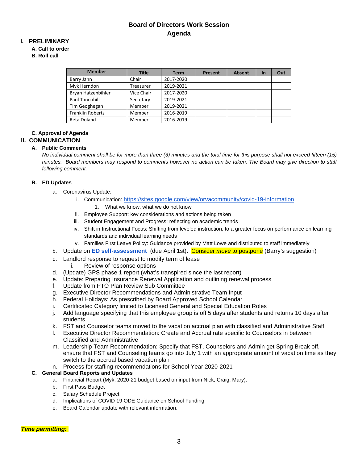## **Board of Directors Work Session Agenda**

### **I. PRELIMINARY**

#### **A. Call to order**

**B. Roll call**

| <b>Member</b>           | <b>Title</b> | <b>Term</b> | Present | <b>Absent</b> | <b>In</b> | Out |
|-------------------------|--------------|-------------|---------|---------------|-----------|-----|
| Barry Jahn              | Chair        | 2017-2020   |         |               |           |     |
| Myk Herndon             | Treasurer    | 2019-2021   |         |               |           |     |
| Bryan Hatzenbihler      | Vice Chair   | 2017-2020   |         |               |           |     |
| Paul Tannahill          | Secretary    | 2019-2021   |         |               |           |     |
| Tim Geoghegan           | Member       | 2019-2021   |         |               |           |     |
| <b>Franklin Roberts</b> | Member       | 2016-2019   |         |               |           |     |
| Reta Doland             | Member       | 2016-2019   |         |               |           |     |

#### **C. Approval of Agenda**

#### **II. COMMUNICATION**

#### **A. Public Comments**

*No individual comment shall be for more than three (3) minutes and the total time for this purpose shall not exceed fifteen (15) minutes. Board members may respond to comments however no action can be taken. The Board may give direction to staff following comment.*

#### **B. ED Updates**

- a. Coronavirus Update:
	- i. Communication[: https://sites.google.com/view/orvacommunity/covid-19-information](https://sites.google.com/view/orvacommunity/covid-19-information)
		- 1. What we know, what we do not know
	- ii. Employee Support: key considerations and actions being taken
	- iii. Student Engagement and Progress: reflecting on academic trends
	- iv. Shift in Instructional Focus: Shifting from leveled instruction, to a greater focus on performance on learning standards and individual learning needs
	- v. Families First Leave Policy: Guidance provided by Matt Lowe and distributed to staff immediately
- b. Update on **[ED self-assessment](https://docs.google.com/document/d/1ot9OUNgIvDfV9CdWk_fU38kgI23RWyZ7BycTBNxk5Lw/edit?usp=sharing)** (due April 1st). Consider *move* to postpone (Barry's suggestion)
- c. Landlord response to request to modify term of lease
	- i. Review of response options
- d. (Update) GPS phase 1 report (what's transpired since the last report)
- e. Update: Preparing Insurance Renewal Application and outlining renewal process
- f. Update from PTO Plan Review Sub Committee
- g. Executive Director Recommendations and Administrative Team Input
- h. Federal Holidays: As prescribed by Board Approved School Calendar
- i. Certificated Category limited to Licensed General and Special Education Roles
- j. Add language specifying that this employee group is off 5 days after students and returns 10 days after students
- k. FST and Counselor teams moved to the vacation accrual plan with classified and Administrative Staff
- l. Executive Director Recommendation: Create and Accrual rate specific to Counselors in between Classified and Administrative
- m. Leadership Team Recommendation: Specify that FST, Counselors and Admin get Spring Break off, ensure that FST and Counseling teams go into July 1 with an appropriate amount of vacation time as they switch to the accrual based vacation plan
- n. Process for staffing recommendations for School Year 2020-2021

#### **C. General Board Reports and Updates**

- a. Financial Report (Myk, 2020-21 budget based on input from Nick, Craig, Mary).
- b. First Pass Budget
- c. Salary Schedule Project
- d. Implications of COVID 19 ODE Guidance on School Funding
- e. Board Calendar update with relevant information.